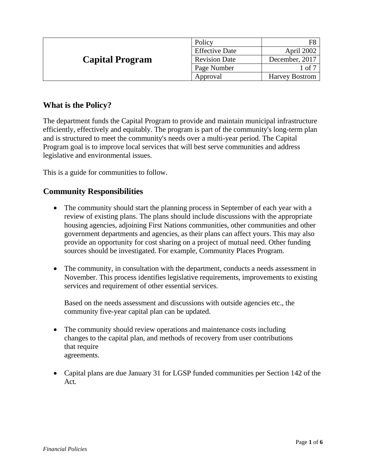| <b>Capital Program</b> | Policy                |                       |
|------------------------|-----------------------|-----------------------|
|                        | <b>Effective Date</b> | April 2002            |
|                        | <b>Revision Date</b>  | December, 2017        |
|                        | Page Number           | $1$ of $7$            |
|                        | Approval              | <b>Harvey Bostrom</b> |

# **What is the Policy?**

The department funds the Capital Program to provide and maintain municipal infrastructure efficiently, effectively and equitably. The program is part of the community's long-term plan and is structured to meet the community's needs over a multi-year period. The Capital Program goal is to improve local services that will best serve communities and address legislative and environmental issues.

This is a guide for communities to follow.

### **Community Responsibilities**

- The community should start the planning process in September of each year with a review of existing plans. The plans should include discussions with the appropriate housing agencies, adjoining First Nations communities, other communities and other government departments and agencies, as their plans can affect yours. This may also provide an opportunity for cost sharing on a project of mutual need. Other funding sources should be investigated. For example, Community Places Program.
- The community, in consultation with the department, conducts a needs assessment in November. This process identifies legislative requirements, improvements to existing services and requirement of other essential services.

Based on the needs assessment and discussions with outside agencies etc., the community five-year capital plan can be updated.

- The community should review operations and maintenance costs including changes to the capital plan, and methods of recovery from user contributions that require agreements.
- Capital plans are due January 31 for LGSP funded communities per Section 142 of the Act.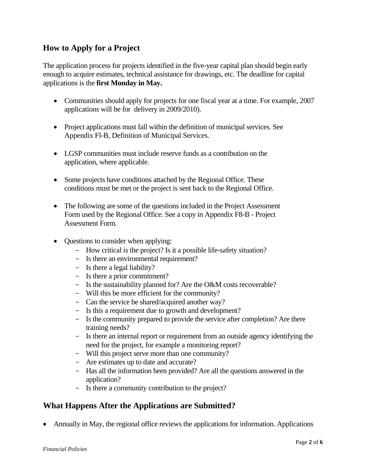# **How to Apply for a Project**

The application process for projects identified in the five-year capital plan should begin early enough to acquire estimates, technical assistance for drawings, etc. The deadline for capital applications is the **first Monday in May.**

- Communities should apply for projects for one fiscal year at a time. For example, 2007 applications will be for delivery in 2009/2010).
- Project applications must fall within the definition of municipal services. See Appendix Fl-B, Definition of Municipal Services.
- LGSP communities must include reserve funds as a contribution on the application, where applicable.
- Some projects have conditions attached by the Regional Office. These conditions must be met or the project is sent back to the Regional Office.
- The following are some of the questions included in the Project Assessment Form used by the Regional Office. See a copy in Appendix F8-B - Project Assessment Form.
- Ouestions to consider when applying:
	- How critical is the project? Is it a possible life-safety situation?
	- Is there an environmental requirement?
	- Is there a legal liability?
	- Is there a prior commitment?
	- Is the sustainability planned for? Are the O&M costs recoverable?
	- Will this be more efficient for the community?
	- Can the service be shared/acquired another way?
	- Is this a requirement due to growth and development?
	- Is the community prepared to provide the service after completion? Are there training needs?
	- Is there an internal report or requirement from an outside agency identifying the need for the project, for example a monitoring report?
	- Will this project serve more than one community?
	- Are estimates up to date and accurate?
	- Has all the information been provided? Are all the questions answered in the application?
	- Is there a community contribution to the project?

### **What Happens After the Applications are Submitted?**

Annually in May, the regional office reviews the applications for information. Applications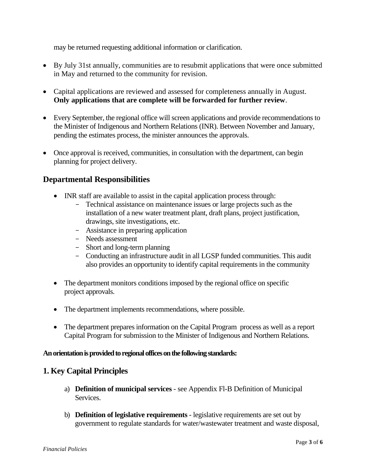may be returned requesting additional information or clarification.

- By July 31st annually, communities are to resubmit applications that were once submitted in May and returned to the community for revision.
- Capital applications are reviewed and assessed for completeness annually in August. **Only applications that are complete will be forwarded for further review**.
- Every September, the regional office will screen applications and provide recommendations to the Minister of Indigenous and Northern Relations (INR). Between November and January, pending the estimates process, the minister announces the approvals.
- Once approval is received, communities, in consultation with the department, can begin planning for project delivery.

### **Departmental Responsibilities**

- INR staff are available to assist in the capital application process through:
	- Technical assistance on maintenance issues or large projects such as the installation of a new water treatment plant, draft plans, project justification, drawings, site investigations, etc.
	- Assistance in preparing application
	- Needs assessment
	- Short and long-term planning
	- Conducting an infrastructure audit in all LGSP funded communities. This audit also provides an opportunity to identify capital requirements in the community
- The department monitors conditions imposed by the regional office on specific project approvals.
- The department implements recommendations, where possible.
- The department prepares information on the Capital Program process as well as a report Capital Program for submission to the Minister of Indigenous and Northern Relations.

#### **An orientation is provided to regional offices on the following standards:**

#### **1. Key Capital Principles**

- a) **Definition of municipal services**  see Appendix Fl-B Definition of Municipal Services.
- b) **Definition of legislative requirements**  legislative requirements are set out by government to regulate standards for water/wastewater treatment and waste disposal,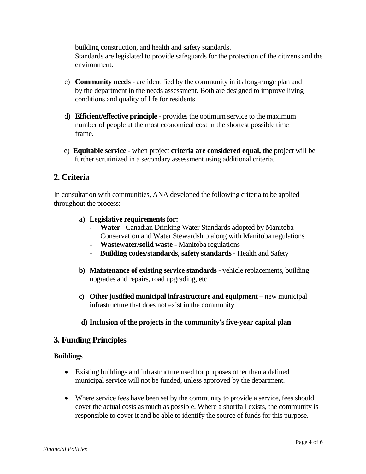building construction, and health and safety standards. Standards are legislated to provide safeguards for the protection of the citizens and the environment.

- c) **Community needs**  are identified by the community in its long-range plan and by the department in the needs assessment. Both are designed to improve living conditions and quality of life for residents.
- d) **Efficient/effective principle**  provides the optimum service to the maximum number of people at the most economical cost in the shortest possible time frame.
- e) **Equitable service**  when project **criteria are considered equal, the** project will be further scrutinized in a secondary assessment using additional criteria.

# **2. Criteria**

In consultation with communities, ANA developed the following criteria to be applied throughout the process:

#### **a) Legislative requirements for:**

- **Water**  Canadian Drinking Water Standards adopted by Manitoba Conservation and Water Stewardship along with Manitoba regulations
- **Wastewater/solid waste**  Manitoba regulations
- **Building codes/standards**, **safety standards**  Health and Safety
- **b) Maintenance of existing service standards -** vehicle replacements, building upgrades and repairs, road upgrading, etc.
- **c) Other justified municipal infrastructure and equipment –** new municipal infrastructure that does not exist in the community

#### **d) Inclusion of the projects in the community's five-year capital plan**

### **3. Funding Principles**

#### **Buildings**

- Existing buildings and infrastructure used for purposes other than a defined municipal service will not be funded, unless approved by the department.
- Where service fees have been set by the community to provide a service, fees should cover the actual costs as much as possible. Where a shortfall exists, the community is responsible to cover it and be able to identify the source of funds for this purpose.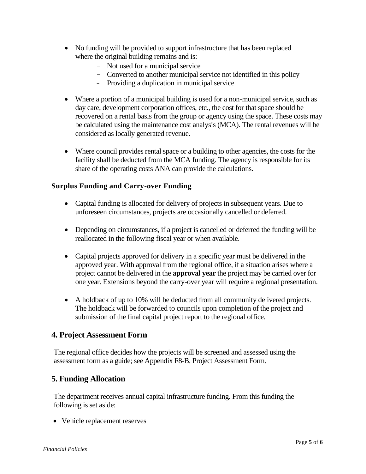- No funding will be provided to support infrastructure that has been replaced where the original building remains and is:
	- Not used for a municipal service
	- Converted to another municipal service not identified in this policy
	- Providing a duplication in municipal service
- Where a portion of a municipal building is used for a non-municipal service, such as day care, development corporation offices, etc., the cost for that space should be recovered on a rental basis from the group or agency using the space. These costs may be calculated using the maintenance cost analysis (MCA). The rental revenues will be considered as locally generated revenue.
- Where council provides rental space or a building to other agencies, the costs for the facility shall be deducted from the MCA funding. The agency is responsible for its share of the operating costs ANA can provide the calculations.

#### **Surplus Funding and Carry-over Funding**

- Capital funding is allocated for delivery of projects in subsequent years. Due to unforeseen circumstances, projects are occasionally cancelled or deferred.
- Depending on circumstances, if a project is cancelled or deferred the funding will be reallocated in the following fiscal year or when available.
- Capital projects approved for delivery in a specific year must be delivered in the approved year. With approval from the regional office, if a situation arises where a project cannot be delivered in the **approval year** the project may be carried over for one year. Extensions beyond the carry-over year will require a regional presentation.
- A holdback of up to 10% will be deducted from all community delivered projects. The holdback will be forwarded to councils upon completion of the project and submission of the final capital project report to the regional office.

### **4. Project Assessment Form**

The regional office decides how the projects will be screened and assessed using the assessment form as a guide; see Appendix F8-B, Project Assessment Form.

### **5. Funding Allocation**

The department receives annual capital infrastructure funding. From this funding the following is set aside:

• Vehicle replacement reserves